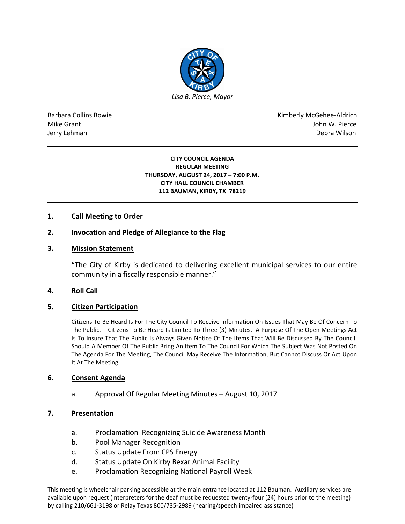

Barbara Collins Bowie **Kimberly McGehee-Aldrich** Mike Grant John W. Pierce Jerry Lehman Debra Wilson (2008) and the state of the state of the state of the state of the state of the state of the state of the state of the state of the state of the state of the state of the state of the state of the

#### **CITY COUNCIL AGENDA REGULAR MEETING THURSDAY, AUGUST 24, 2017 – 7:00 P.M. CITY HALL COUNCIL CHAMBER 112 BAUMAN, KIRBY, TX 78219**

## **1. Call Meeting to Order**

## **2. Invocation and Pledge of Allegiance to the Flag**

### **3. Mission Statement**

"The City of Kirby is dedicated to delivering excellent municipal services to our entire community in a fiscally responsible manner."

### **4. Roll Call**

### **5. Citizen Participation**

Citizens To Be Heard Is For The City Council To Receive Information On Issues That May Be Of Concern To The Public. Citizens To Be Heard Is Limited To Three (3) Minutes. A Purpose Of The Open Meetings Act Is To Insure That The Public Is Always Given Notice Of The Items That Will Be Discussed By The Council. Should A Member Of The Public Bring An Item To The Council For Which The Subject Was Not Posted On The Agenda For The Meeting, The Council May Receive The Information, But Cannot Discuss Or Act Upon It At The Meeting.

### **6. Consent Agenda**

a. Approval Of Regular Meeting Minutes – August 10, 2017

## **7. Presentation**

- a. Proclamation Recognizing Suicide Awareness Month
- b. Pool Manager Recognition
- c. Status Update From CPS Energy
- d. Status Update On Kirby Bexar Animal Facility
- e. Proclamation Recognizing National Payroll Week

This meeting is wheelchair parking accessible at the main entrance located at 112 Bauman. Auxiliary services are available upon request (interpreters for the deaf must be requested twenty-four (24) hours prior to the meeting) by calling 210/661-3198 or Relay Texas 800/735-2989 (hearing/speech impaired assistance)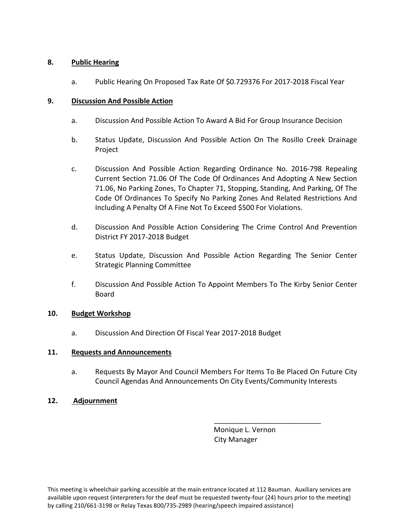# **8. Public Hearing**

a. Public Hearing On Proposed Tax Rate Of \$0.729376 For 2017-2018 Fiscal Year

# **9. Discussion And Possible Action**

- a. Discussion And Possible Action To Award A Bid For Group Insurance Decision
- b. Status Update, Discussion And Possible Action On The Rosillo Creek Drainage Project
- c. Discussion And Possible Action Regarding Ordinance No. 2016-798 Repealing Current Section 71.06 Of The Code Of Ordinances And Adopting A New Section 71.06, No Parking Zones, To Chapter 71, Stopping, Standing, And Parking, Of The Code Of Ordinances To Specify No Parking Zones And Related Restrictions And Including A Penalty Of A Fine Not To Exceed \$500 For Violations.
- d. Discussion And Possible Action Considering The Crime Control And Prevention District FY 2017-2018 Budget
- e. Status Update, Discussion And Possible Action Regarding The Senior Center Strategic Planning Committee
- f. Discussion And Possible Action To Appoint Members To The Kirby Senior Center Board

## **10. Budget Workshop**

a. Discussion And Direction Of Fiscal Year 2017-2018 Budget

## **11. Requests and Announcements**

- a. Requests By Mayor And Council Members For Items To Be Placed On Future City Council Agendas And Announcements On City Events/Community Interests
- **12. Adjournment**

 Monique L. Vernon City Manager

\_\_\_\_\_\_\_\_\_\_\_\_\_\_\_\_\_\_\_\_\_\_\_\_\_\_\_

This meeting is wheelchair parking accessible at the main entrance located at 112 Bauman. Auxiliary services are available upon request (interpreters for the deaf must be requested twenty-four (24) hours prior to the meeting) by calling 210/661-3198 or Relay Texas 800/735-2989 (hearing/speech impaired assistance)